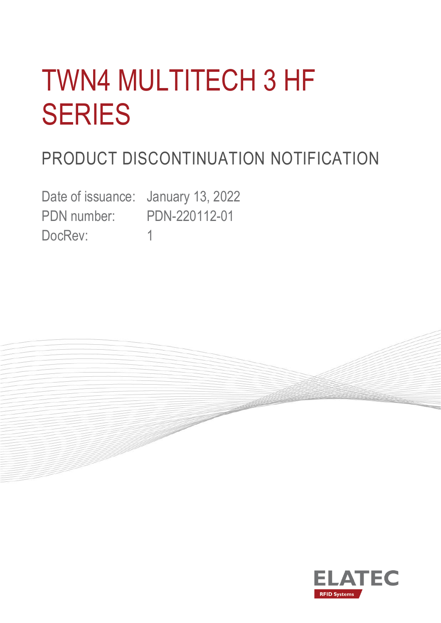# TWN4 MULTITECH 3 HF SERIES

# PRODUCT DISCONTINUATION NOTIFICATION

Date of issuance: January 13, 2022 PDN number: PDN-220112-01 DocRev: 1



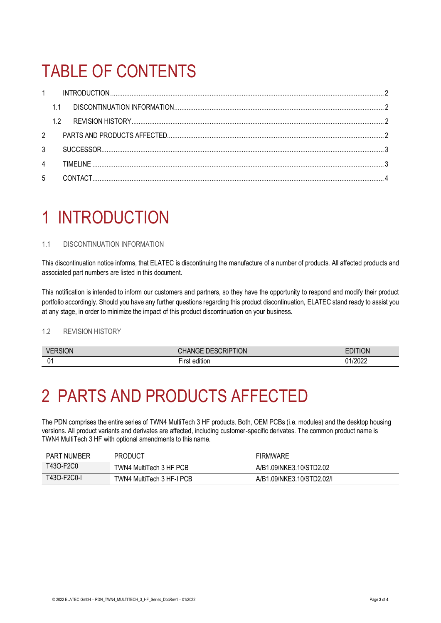## TABLE OF CONTENTS

| $\mathbf{1}$ |     |           |  |
|--------------|-----|-----------|--|
|              |     |           |  |
|              | 1.2 |           |  |
| 2            |     |           |  |
| 3            |     |           |  |
| 4            |     | TIMFI INF |  |
| 5            |     |           |  |

### <span id="page-1-0"></span>1 INTRODUCTION

### <span id="page-1-1"></span>1.1 DISCONTINUATION INFORMATION

This discontinuation notice informs, that ELATEC is discontinuing the manufacture of a number of products. All affected products and associated part numbers are listed in this document.

This notification is intended to inform our customers and partners, so they have the opportunity to respond and modify their product portfolio accordingly. Should you have any further questions regarding this product discontinuation, ELATEC stand ready to assist you at any stage, in order to minimize the impact of this product discontinuation on your business.

#### <span id="page-1-2"></span>1.2 REVISION HISTORY

| ۷F<br>SION.    | <b>DESCRIPTION</b> | .<br>ΟN                 |
|----------------|--------------------|-------------------------|
| ∼<br>. .<br>v. | <br>1.85%          | 0.000<br>. J <i>L L</i> |

### <span id="page-1-3"></span>2 PARTS AND PRODUCTS AFFECTED

The PDN comprises the entire series of TWN4 MultiTech 3 HF products. Both, OEM PCBs (i.e. modules) and the desktop housing versions. All product variants and derivates are affected, including customer-specific derivates. The common product name is TWN4 MultiTech 3 HF with optional amendments to this name.

| PART NUMBER | <b>PRODUCT</b>            | <b>FIRMWARE</b>           |
|-------------|---------------------------|---------------------------|
| T43O-F2C0   | TWN4 MultiTech 3 HF PCB   | A/B1.09/NKE3.10/STD2.02   |
| T43O-F2C0-L | TWN4 MultiTech 3 HF-I PCB | A/B1.09/NKE3.10/STD2.02/I |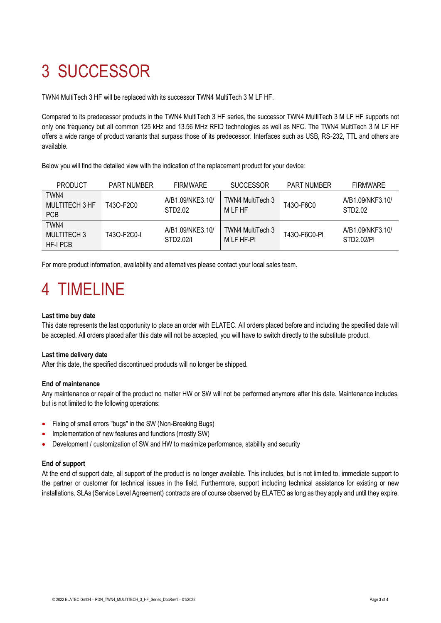# <span id="page-2-0"></span>3 SUCCESSOR

TWN4 MultiTech 3 HF will be replaced with its successor TWN4 MultiTech 3 M LF HF.

Compared to its predecessor products in the TWN4 MultiTech 3 HF series, the successor TWN4 MultiTech 3 M LF HF supports not only one frequency but all common 125 kHz and 13.56 MHz RFID technologies as well as NFC. The TWN4 MultiTech 3 M LF HF offers a wide range of product variants that surpass those of its predecessor. Interfaces such as USB, RS-232, TTL and others are available.

Below you will find the detailed view with the indication of the replacement product for your device:

| <b>PRODUCT</b>                              | <b>PART NUMBER</b> | <b>FIRMWARE</b>               | <b>SUCCESSOR</b>               | <b>PART NUMBER</b> | <b>FIRMWARE</b>                |
|---------------------------------------------|--------------------|-------------------------------|--------------------------------|--------------------|--------------------------------|
| TWN4<br><b>MULTITECH 3 HF</b><br><b>PCB</b> | T43O-F2C0          | A/B1.09/NKE3.10/<br>STD2.02   | TWN4 MultiTech 3<br>M LF HF    | T43O-F6C0          | A/B1.09/NKF3.10/<br>STD2.02    |
| TWN4<br>MULTITECH 3<br>HF-I PCB             | T43O-F2C0-I        | A/B1.09/NKE3.10/<br>STD2.02/L | TWN4 MultiTech 3<br>M LF HF-PI | T430-F6C0-PI       | A/B1.09/NKF3.10/<br>STD2.02/PL |

<span id="page-2-1"></span>For more product information, availability and alternatives please contact your local sales team.

### 4 TIMELINE

### **Last time buy date**

This date represents the last opportunity to place an order with ELATEC. All orders placed before and including the specified date will be accepted. All orders placed after this date will not be accepted, you will have to switch directly to the substitute product.

### **Last time delivery date**

After this date, the specified discontinued products will no longer be shipped.

#### **End of maintenance**

Any maintenance or repair of the product no matter HW or SW will not be performed anymore after this date. Maintenance includes, but is not limited to the following operations:

- Fixing of small errors "bugs" in the SW (Non-Breaking Bugs)
- Implementation of new features and functions (mostly SW)
- Development / customization of SW and HW to maximize performance, stability and security

#### **End of support**

At the end of support date, all support of the product is no longer available. This includes, but is not limited to, immediate support to the partner or customer for technical issues in the field. Furthermore, support including technical assistance for existing or new installations. SLAs (Service Level Agreement) contracts are of course observed by ELATEC as long as they apply and until they expire.